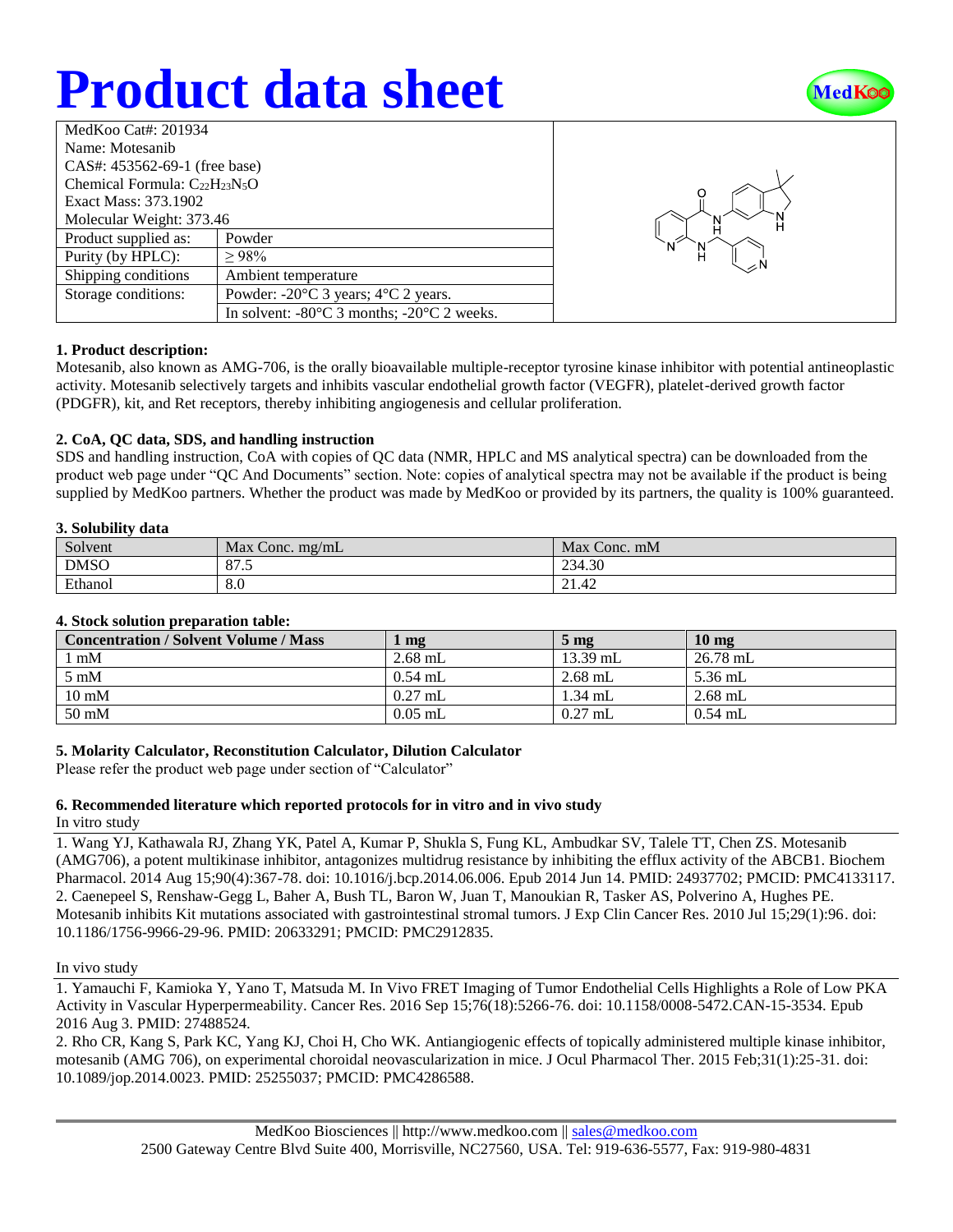# **Product data sheet**



| MedKoo Cat#: 201934                  |                                                                |  |  |  |
|--------------------------------------|----------------------------------------------------------------|--|--|--|
| Name: Motesanib                      |                                                                |  |  |  |
| CAS#: 453562-69-1 (free base)        |                                                                |  |  |  |
| Chemical Formula: $C_{22}H_{23}N_5O$ |                                                                |  |  |  |
| Exact Mass: 373.1902                 |                                                                |  |  |  |
| Molecular Weight: 373.46             |                                                                |  |  |  |
| Product supplied as:                 | Powder                                                         |  |  |  |
| Purity (by HPLC):                    | >98%                                                           |  |  |  |
| Shipping conditions                  | Ambient temperature                                            |  |  |  |
| Storage conditions:                  | Powder: $-20^{\circ}$ C 3 years; $4^{\circ}$ C 2 years.        |  |  |  |
|                                      | In solvent: $-80^{\circ}$ C 3 months; $-20^{\circ}$ C 2 weeks. |  |  |  |



## **1. Product description:**

Motesanib, also known as AMG-706, is the orally bioavailable multiple-receptor tyrosine kinase inhibitor with potential antineoplastic activity. Motesanib selectively targets and inhibits vascular endothelial growth factor (VEGFR), platelet-derived growth factor (PDGFR), kit, and Ret receptors, thereby inhibiting angiogenesis and cellular proliferation.

## **2. CoA, QC data, SDS, and handling instruction**

SDS and handling instruction, CoA with copies of QC data (NMR, HPLC and MS analytical spectra) can be downloaded from the product web page under "QC And Documents" section. Note: copies of analytical spectra may not be available if the product is being supplied by MedKoo partners. Whether the product was made by MedKoo or provided by its partners, the quality is 100% guaranteed.

#### **3. Solubility data**

| ---------------<br>-------- |                   |                    |  |  |
|-----------------------------|-------------------|--------------------|--|--|
| Solvent                     | Max Conc. $mg/mL$ | Max Conc. mM       |  |  |
| <b>DMSO</b>                 | O7<br>01.5        | 234.30             |  |  |
| Ethanol                     | 8.0               | $\Lambda$<br>41.44 |  |  |

## **4. Stock solution preparation table:**

| <b>Concentration / Solvent Volume / Mass</b> | mg        | $5 \text{ mg}$ | $10 \text{ mg}$ |
|----------------------------------------------|-----------|----------------|-----------------|
| mM                                           | $2.68$ mL | 13.39 mL       | 26.78 mL        |
| $5 \text{ mM}$                               | $0.54$ mL | $2.68$ mL      | $5.36$ mL       |
| $10 \text{ mM}$                              | $0.27$ mL | $1.34$ mL      | $2.68$ mL       |
| $50 \text{ mM}$                              | $0.05$ mL | $0.27$ mL      | $0.54$ mL       |

## **5. Molarity Calculator, Reconstitution Calculator, Dilution Calculator**

Please refer the product web page under section of "Calculator"

## **6. Recommended literature which reported protocols for in vitro and in vivo study**

In vitro study

1. Wang YJ, Kathawala RJ, Zhang YK, Patel A, Kumar P, Shukla S, Fung KL, Ambudkar SV, Talele TT, Chen ZS. Motesanib (AMG706), a potent multikinase inhibitor, antagonizes multidrug resistance by inhibiting the efflux activity of the ABCB1. Biochem Pharmacol. 2014 Aug 15;90(4):367-78. doi: 10.1016/j.bcp.2014.06.006. Epub 2014 Jun 14. PMID: 24937702; PMCID: PMC4133117. 2. Caenepeel S, Renshaw-Gegg L, Baher A, Bush TL, Baron W, Juan T, Manoukian R, Tasker AS, Polverino A, Hughes PE. Motesanib inhibits Kit mutations associated with gastrointestinal stromal tumors. J Exp Clin Cancer Res. 2010 Jul 15;29(1):96. doi: 10.1186/1756-9966-29-96. PMID: 20633291; PMCID: PMC2912835.

#### In vivo study

1. Yamauchi F, Kamioka Y, Yano T, Matsuda M. In Vivo FRET Imaging of Tumor Endothelial Cells Highlights a Role of Low PKA Activity in Vascular Hyperpermeability. Cancer Res. 2016 Sep 15;76(18):5266-76. doi: 10.1158/0008-5472.CAN-15-3534. Epub 2016 Aug 3. PMID: 27488524.

2. Rho CR, Kang S, Park KC, Yang KJ, Choi H, Cho WK. Antiangiogenic effects of topically administered multiple kinase inhibitor, motesanib (AMG 706), on experimental choroidal neovascularization in mice. J Ocul Pharmacol Ther. 2015 Feb;31(1):25-31. doi: 10.1089/jop.2014.0023. PMID: 25255037; PMCID: PMC4286588.